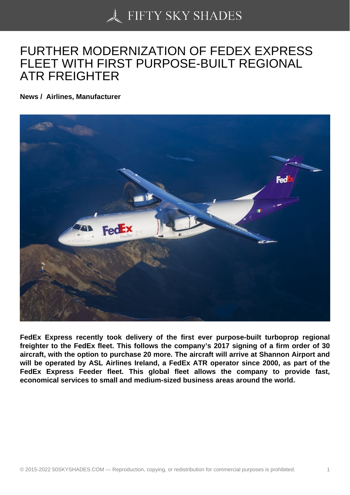## [FURTHER MODERNIZ](https://50skyshades.com)ATION OF FEDEX EXPRESS FLEET WITH FIRST PURPOSE-BUILT REGIONAL ATR FREIGHTER

News / Airlines, Manufacturer

FedEx Express recently took delivery of the first ever purpose-built turboprop regional freighter to the FedEx fleet. This follows the company's 2017 signing of a firm order of 30 aircraft, with the option to purchase 20 more. The aircraft will arrive at Shannon Airport and will be operated by ASL Airlines Ireland, a FedEx ATR operator since 2000, as part of the FedEx Express Feeder fleet. This global fleet allows the company to provide fast, economical services to small and medium-sized business areas around the world.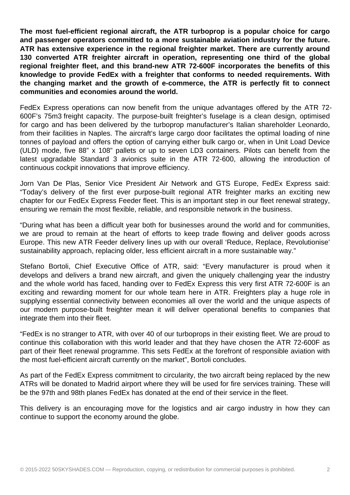**The most fuel-efficient regional aircraft, the ATR turboprop is a popular choice for cargo and passenger operators committed to a more sustainable aviation industry for the future. ATR has extensive experience in the regional freighter market. There are currently around 130 converted ATR freighter aircraft in operation, representing one third of the global regional freighter fleet, and this brand-new ATR 72-600F incorporates the benefits of this knowledge to provide FedEx with a freighter that conforms to needed requirements. With the changing market and the growth of e-commerce, the ATR is perfectly fit to connect communities and economies around the world.**

FedEx Express operations can now benefit from the unique advantages offered by the ATR 72- 600F's 75m3 freight capacity. The purpose-built freighter's fuselage is a clean design, optimised for cargo and has been delivered by the turboprop manufacturer's Italian shareholder Leonardo, from their facilities in Naples. The aircraft's large cargo door facilitates the optimal loading of nine tonnes of payload and offers the option of carrying either bulk cargo or, when in Unit Load Device (ULD) mode, five 88" x 108" pallets or up to seven LD3 containers. Pilots can benefit from the latest upgradable Standard 3 avionics suite in the ATR 72-600, allowing the introduction of continuous cockpit innovations that improve efficiency.

Jorn Van De Plas, Senior Vice President Air Network and GTS Europe, FedEx Express said: "Today's delivery of the first ever purpose-built regional ATR freighter marks an exciting new chapter for our FedEx Express Feeder fleet. This is an important step in our fleet renewal strategy, ensuring we remain the most flexible, reliable, and responsible network in the business.

"During what has been a difficult year both for businesses around the world and for communities, we are proud to remain at the heart of efforts to keep trade flowing and deliver goods across Europe. This new ATR Feeder delivery lines up with our overall 'Reduce, Replace, Revolutionise' sustainability approach, replacing older, less efficient aircraft in a more sustainable way."

Stefano Bortoli, Chief Executive Office of ATR, said: "Every manufacturer is proud when it develops and delivers a brand new aircraft, and given the uniquely challenging year the industry and the whole world has faced, handing over to FedEx Express this very first ATR 72-600F is an exciting and rewarding moment for our whole team here in ATR. Freighters play a huge role in supplying essential connectivity between economies all over the world and the unique aspects of our modern purpose-built freighter mean it will deliver operational benefits to companies that integrate them into their fleet.

"FedEx is no stranger to ATR, with over 40 of our turboprops in their existing fleet. We are proud to continue this collaboration with this world leader and that they have chosen the ATR 72-600F as part of their fleet renewal programme. This sets FedEx at the forefront of responsible aviation with the most fuel-efficient aircraft currently on the market", Bortoli concludes.

As part of the FedEx Express commitment to circularity, the two aircraft being replaced by the new ATRs will be donated to Madrid airport where they will be used for fire services training. These will be the 97th and 98th planes FedEx has donated at the end of their service in the fleet.

This delivery is an encouraging move for the logistics and air cargo industry in how they can continue to support the economy around the globe.